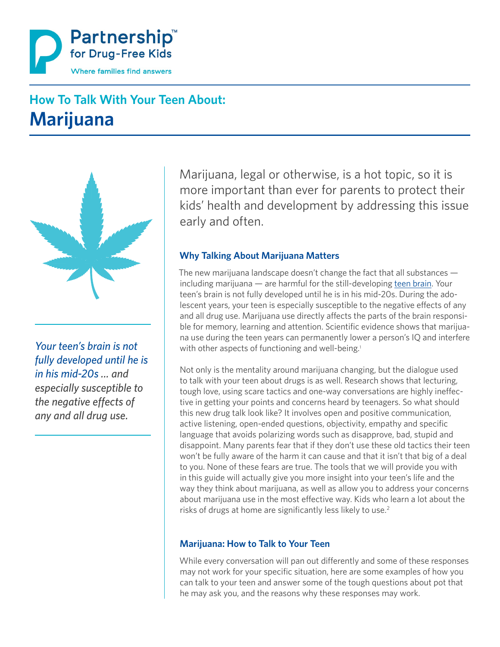

# **How To Talk With Your Teen About: Marijuana**



*Your teen's brain is not fully developed until he is in his mid-20s ... and especially susceptible to the negative effects of any and all drug use.*

Marijuana, legal or otherwise, is a hot topic, so it is more important than ever for parents to protect their kids' health and development by addressing this issue early and often.

#### **Why Talking About Marijuana Matters**

The new marijuana landscape doesn't change the fact that all substances including marijuana — are harmful for the still-developing [teen brain.](http://www.drugfree.org/why-do-teens-act-this-way/) Your teen's brain is not fully developed until he is in his mid-20s. During the adolescent years, your teen is especially susceptible to the negative effects of any and all drug use. Marijuana use directly affects the parts of the brain responsible for memory, learning and attention. Scientific evidence shows that marijuana use during the teen years can permanently lower a person's IQ and interfere with other aspects of functioning and well-being.<sup>1</sup>

Not only is the mentality around marijuana changing, but the dialogue used to talk with your teen about drugs is as well. Research shows that lecturing, tough love, using scare tactics and one-way conversations are highly ineffective in getting your points and concerns heard by teenagers. So what should this new drug talk look like? It involves open and positive communication, active listening, open-ended questions, objectivity, empathy and specific language that avoids polarizing words such as disapprove, bad, stupid and disappoint. Many parents fear that if they don't use these old tactics their teen won't be fully aware of the harm it can cause and that it isn't that big of a deal to you. None of these fears are true. The tools that we will provide you with in this guide will actually give you more insight into your teen's life and the way they think about marijuana, as well as allow you to address your concerns about marijuana use in the most effective way. Kids who learn a lot about the risks of drugs at home are significantly less likely to use.<sup>2</sup>

#### **Marijuana: How to Talk to Your Teen**

While every conversation will pan out differently and some of these responses may not work for your specific situation, here are some examples of how you can talk to your teen and answer some of the tough questions about pot that he may ask you, and the reasons why these responses may work.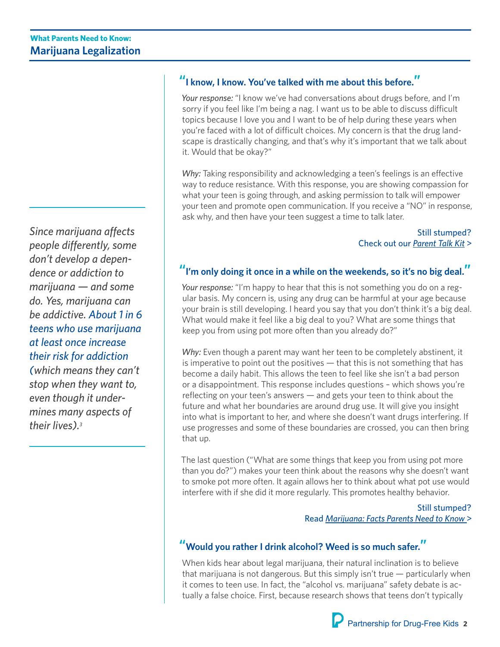*Since marijuana affects people differently, some don't develop a dependence or addiction to marijuana — and some do. Yes, marijuana can be addictive. About 1 in 6 teens who use marijuana at least once increase their risk for addiction (which means they can't stop when they want to, even though it undermines many aspects of their lives).3*

## **"I know, I know. You've talked with me about this before."**

*Your response:* "I know we've had conversations about drugs before, and I'm sorry if you feel like I'm being a nag. I want us to be able to discuss difficult topics because I love you and I want to be of help during these years when you're faced with a lot of difficult choices. My concern is that the drug landscape is drastically changing, and that's why it's important that we talk about it. Would that be okay?"

*Why:* Taking responsibility and acknowledging a teen's feelings is an effective way to reduce resistance. With this response, you are showing compassion for what your teen is going through, and asking permission to talk will empower your teen and promote open communication. If you receive a "NO" in response, ask why, and then have your teen suggest a time to talk later.

> Still stumped? Check out our *[Parent Talk Kit](http://medicineabuseproject.org/assets/documents/Parent_talk_kit_2014_.pdf)* >

## **"I'm only doing it once in a while on the weekends, so it's no big deal."**

*Your response:* "I'm happy to hear that this is not something you do on a regular basis. My concern is, using any drug can be harmful at your age because your brain is still developing. I heard you say that you don't think it's a big deal. What would make it feel like a big deal to you? What are some things that keep you from using pot more often than you already do?"

*Why:* Even though a parent may want her teen to be completely abstinent, it is imperative to point out the positives — that this is not something that has become a daily habit. This allows the teen to feel like she isn't a bad person or a disappointment. This response includes questions – which shows you're reflecting on your teen's answers — and gets your teen to think about the future and what her boundaries are around drug use. It will give you insight into what is important to her, and where she doesn't want drugs interfering. If use progresses and some of these boundaries are crossed, you can then bring that up.

The last question ("What are some things that keep you from using pot more than you do?") makes your teen think about the reasons why she doesn't want to smoke pot more often. It again allows her to think about what pot use would interfere with if she did it more regularly. This promotes healthy behavior.

#### Still stumped? Read *[Marijuana: Facts Parents Need to Know](http://www.drugfree.org/resources/)* >

## **"Would you rather I drink alcohol? Weed is so much safer."**

When kids hear about legal marijuana, their natural inclination is to believe that marijuana is not dangerous. But this simply isn't true — particularly when it comes to teen use. In fact, the "alcohol vs. marijuana" safety debate is actually a false choice. First, because research shows that teens don't typically

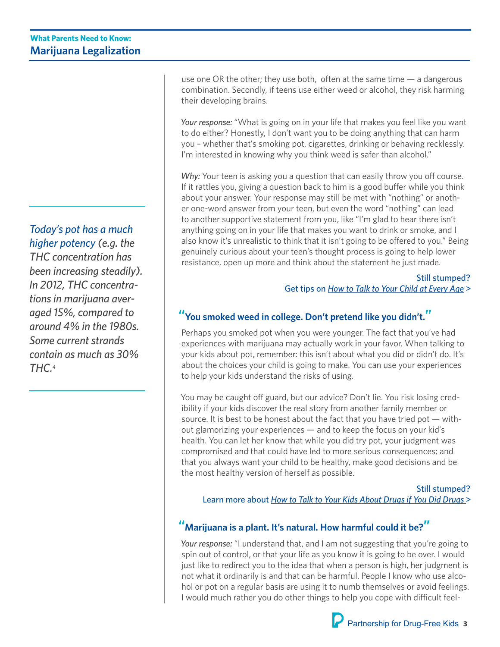*Today's pot has a much higher potency (e.g. the THC concentration has been increasing steadily). In 2012, THC concentrations in marijuana averaged 15%, compared to around 4% in the 1980s. Some current strands contain as much as 30% THC.4*

use one OR the other; they use both, often at the same time  $-$  a dangerous combination. Secondly, if teens use either weed or alcohol, they risk harming their developing brains.

*Your response:* "What is going on in your life that makes you feel like you want to do either? Honestly, I don't want you to be doing anything that can harm you – whether that's smoking pot, cigarettes, drinking or behaving recklessly. I'm interested in knowing why you think weed is safer than alcohol."

*Why:* Your teen is asking you a question that can easily throw you off course. If it rattles you, giving a question back to him is a good buffer while you think about your answer. Your response may still be met with "nothing" or another one-word answer from your teen, but even the word "nothing" can lead to another supportive statement from you, like "I'm glad to hear there isn't anything going on in your life that makes you want to drink or smoke, and I also know it's unrealistic to think that it isn't going to be offered to you." Being genuinely curious about your teen's thought process is going to help lower resistance, open up more and think about the statement he just made.

> Still stumped? Get tips on *[How to Talk to Your Child at Every Age](http://www.drugfree.org/the-parent-toolkit/age-by-age-advice/)* >

#### **"You smoked weed in college. Don't pretend like you didn't."**

Perhaps you smoked pot when you were younger. The fact that you've had experiences with marijuana may actually work in your favor. When talking to your kids about pot, remember: this isn't about what you did or didn't do. It's about the choices your child is going to make. You can use your experiences to help your kids understand the risks of using.

You may be caught off guard, but our advice? Don't lie. You risk losing credibility if your kids discover the real story from another family member or source. It is best to be honest about the fact that you have tried pot — without glamorizing your experiences — and to keep the focus on your kid's health. You can let her know that while you did try pot, your judgment was compromised and that could have led to more serious consequences; and that you always want your child to be healthy, make good decisions and be the most healthy version of herself as possible.

Still stumped?

Learn more about *[How to Talk to Your Kids About Drugs if You Did Drugs](http://www.drugfree.org/wp-content/uploads/2014/05/How-to-talk-to-your-kids-about-drugs-if-you-did-drugs.pdf)* >

#### **"Marijuana is a plant. It's natural. How harmful could it be?"**

Your response: "I understand that, and I am not suggesting that you're going to spin out of control, or that your life as you know it is going to be over. I would just like to redirect you to the idea that when a person is high, her judgment is not what it ordinarily is and that can be harmful. People I know who use alcohol or pot on a regular basis are using it to numb themselves or avoid feelings. I would much rather you do other things to help you cope with difficult feel-